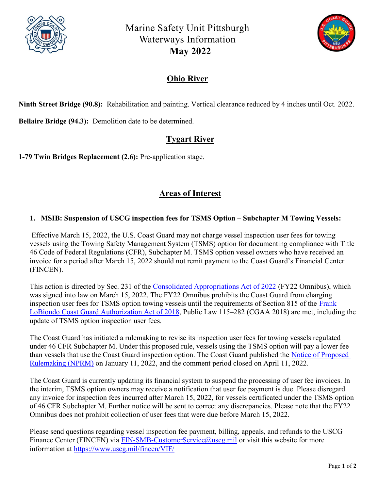

Marine Safety Unit Pittsburgh Waterways Information May 2022



### Ohio River

Ninth Street Bridge (90.8): Rehabilitation and painting. Vertical clearance reduced by 4 inches until Oct. 2022.

Bellaire Bridge (94.3): Demolition date to be determined.

## Tygart River

1-79 Twin Bridges Replacement (2.6): Pre-application stage.

# Areas of Interest

#### 1. MSIB: Suspension of USCG inspection fees for TSMS Option – Subchapter M Towing Vessels:

Effective March 15, 2022, the U.S. Coast Guard may not charge vessel inspection user fees for towing vessels using the Towing Safety Management System (TSMS) option for documenting compliance with Title 46 Code of Federal Regulations (CFR), Subchapter M. TSMS option vessel owners who have received an invoice for a period after March 15, 2022 should not remit payment to the Coast Guard's Financial Center (FINCEN).

This action is directed by Sec. 231 of the Consolidated Appropriations Act of 2022 (FY22 Omnibus), which was signed into law on March 15, 2022. The FY22 Omnibus prohibits the Coast Guard from charging inspection user fees for TSMS option towing vessels until the requirements of Section 815 of the Frank LoBiondo Coast Guard Authorization Act of 2018, Public Law 115–282 (CGAA 2018) are met, including the update of TSMS option inspection user fees.

The Coast Guard has initiated a rulemaking to revise its inspection user fees for towing vessels regulated under 46 CFR Subchapter M. Under this proposed rule, vessels using the TSMS option will pay a lower fee than vessels that use the Coast Guard inspection option. The Coast Guard published the Notice of Proposed Rulemaking (NPRM) on January 11, 2022, and the comment period closed on April 11, 2022.

The Coast Guard is currently updating its financial system to suspend the processing of user fee invoices. In the interim, TSMS option owners may receive a notification that user fee payment is due. Please disregard any invoice for inspection fees incurred after March 15, 2022, for vessels certificated under the TSMS option of 46 CFR Subchapter M. Further notice will be sent to correct any discrepancies. Please note that the FY22 Omnibus does not prohibit collection of user fees that were due before March 15, 2022.

Please send questions regarding vessel inspection fee payment, billing, appeals, and refunds to the USCG Finance Center (FINCEN) via FIN-SMB-CustomerService@uscg.mil or visit this website for more information at https://www.uscg.mil/fincen/VIF/